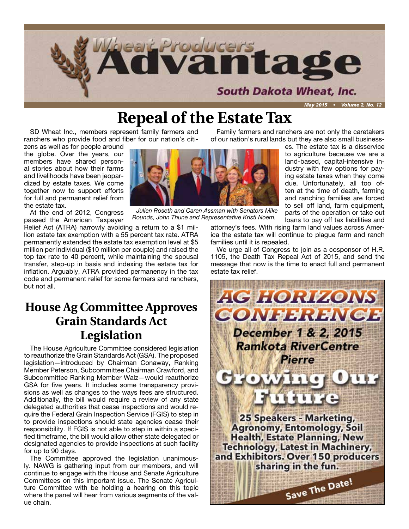

### **Repeal of the Estate Tax**

SD Wheat Inc., members represent family farmers and ranchers who provide food and fiber for our nation's citi-

zens as well as for people around the globe. Over the years, our members have shared personal stories about how their farms and livelihoods have been jeopardized by estate taxes. We come together now to support efforts for full and permanent relief from the estate tax.

At the end of 2012, Congress passed the American Taxpayer

Relief Act (ATRA) narrowly avoiding a return to a \$1 million estate tax exemption with a 55 percent tax rate. ATRA permanently extended the estate tax exemption level at \$5 million per individual (\$10 million per couple) and raised the top tax rate to 40 percent, while maintaining the spousal transfer, step-up in basis and indexing the estate tax for inflation. Arguably, ATRA provided permanency in the tax code and permanent relief for some farmers and ranchers, but not all.

### **House Ag Committee Approves Grain Standards Act Legislation**

The House Agriculture Committee considered legislation to reauthorize the Grain Standards Act (GSA). The proposed legislation—introduced by Chairman Conaway, Ranking Member Peterson, Subcommittee Chairman Crawford, and Subcommittee Ranking Member Walz—would reauthorize GSA for five years. It includes some transparency provisions as well as changes to the ways fees are structured. Additionally, the bill would require a review of any state delegated authorities that cease inspections and would require the Federal Grain Inspection Service (FGIS) to step in to provide inspections should state agencies cease their responsibility. If FGIS is not able to step in within a specified timeframe, the bill would allow other state delegated or designated agencies to provide inspections at such facility for up to 90 days.

The Committee approved the legislation unanimously. NAWG is gathering input from our members, and will continue to engage with the House and Senate Agriculture Committees on this important issue. The Senate Agriculture Committee with be holding a hearing on this topic where the panel will hear from various segments of the value chain.

of our nation's rural lands but they are also small businesses. The estate tax is a disservice

Family farmers and ranchers are not only the caretakers

to agriculture because we are a land-based, capital-intensive industry with few options for paying estate taxes when they come due. Unfortunately, all too often at the time of death, farming and ranching families are forced to sell off land, farm equipment, parts of the operation or take out loans to pay off tax liabilities and

attorney's fees. With rising farm land values across America the estate tax will continue to plague farm and ranch families until it is repealed.

We urge all of Congress to join as a cosponsor of H.R. 1105, the Death Tax Repeal Act of 2015, and send the message that now is the time to enact full and permanent estate tax relief.





*Julien Roseth and Caren Assman with Senators Mike Rounds, John Thune and Representative Kristi Noem.*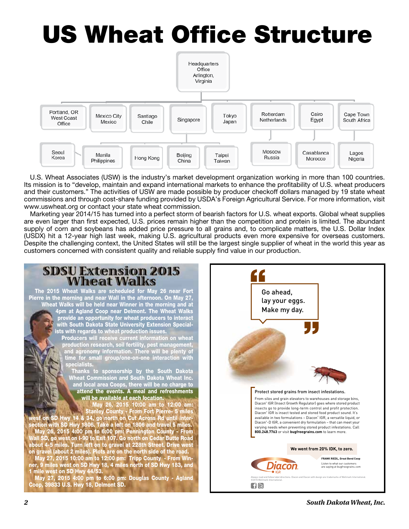# US Wheat Office Structure



U.S. Wheat Associates (USW) is the industry's market development organization working in more than 100 countries. Its mission is to "develop, maintain and expand international markets to enhance the profitability of U.S. wheat producers and their customers." The activities of USW are made possible by producer checkoff dollars managed by 19 state wheat commissions and through cost-share funding provided by USDA's Foreign Agricultural Service. For more information, visit www.uswheat.org or contact your state wheat commission.

Marketing year 2014/15 has turned into a perfect storm of bearish factors for U.S. wheat exports. Global wheat supplies are even larger than first expected, U.S. prices remain higher than the competition and protein is limited. The abundant supply of corn and soybeans has added price pressure to all grains and, to complicate matters, the U.S. Dollar Index (USDX) hit a 12-year high last week, making U.S. agricultural products even more expensive for overseas customers. Despite the challenging context, the United States will still be the largest single supplier of wheat in the world this year as customers concerned with consistent quality and reliable supply find value in our production.

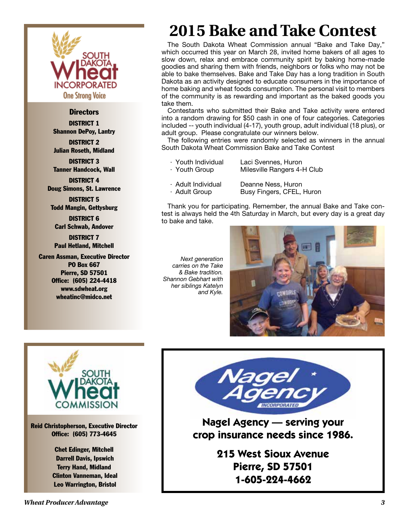

#### **Directors**

DISTRICT 1 Shannon DePoy, Lantry DISTRICT 2

Julian Roseth, Midland

DISTRICT 3 Tanner Handcock, Wall

DISTRICT 4 Doug Simons, St. Lawrence

DISTRICT 5 Todd Mangin, Gettysburg

DISTRICT 6 Carl Schwab, Andover

DISTRICT 7 Paul Hetland, Mitchell

Caren Assman, Executive Director PO Box 667 Pierre, SD 57501 Office: (605) 224-4418 www.sdwheat.org wheatinc@midco.net

*Next generation carries on the Take & Bake tradition. Shannon Gebhart with her siblings Katelyn and Kyle.*

to bake and take.

take them.





Reid Christopherson, Executive Director Office: (605) 773-4645

> Chet Edinger, Mitchell Darrell Davis, Ipswich Terry Hand, Midland Clinton Vanneman, Ideal Leo Warrington, Bristol



The South Dakota Wheat Commission annual "Bake and Take Day," which occurred this year on March 28, invited home bakers of all ages to slow down, relax and embrace community spirit by baking home-made goodies and sharing them with friends, neighbors or folks who may not be able to bake themselves. Bake and Take Day has a long tradition in South Dakota as an activity designed to educate consumers in the importance of home baking and wheat foods consumption. The personal visit to members of the community is as rewarding and important as the baked goods you

**2015 Bake and Take Contest**

Contestants who submitted their Bake and Take activity were entered into a random drawing for \$50 cash in one of four categories. Categories included -- youth individual (4-17), youth group, adult individual (18 plus), or

The following entries were randomly selected as winners in the annual

Milesville Rangers 4-H Club

Busy Fingers, CFEL, Huron

adult group. Please congratulate our winners below.

· Youth Individual Laci Svennes, Huron

· Adult Individual Deanne Ness, Huron<br>· Adult Group Busy Fingers, CFEL,

South Dakota Wheat Commission Bake and Take Contest

**Nagel Agency — serving your crop insurance needs since 1986.**

> **215 West Sioux Avenue Pierre, SD 57501 1-605-224-4662**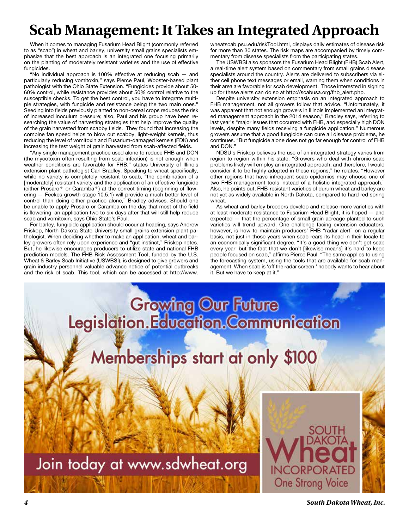## **Scab Management: It Takes an Integrated Approach**

When it comes to managing Fusarium Head Blight (commonly referred to as "scab") in wheat and barley, university small grains specialists emphasize that the best approach is an integrated one focusing primarily on the planting of moderately resistant varieties and the use of effective fungicides.

"No individual approach is 100% effective at reducing scab — and particularly reducing vomitoxin," says Pierce Paul, Wooster-based plant pathologist with the Ohio State Extension. "Fungicides provide about 50- 60% control, while resistance provides about 50% control relative to the susceptible checks. To get the best control, you have to integrate multiple strategies, with fungicide and resistance being the two main ones." Seeding into fields previously planted to non-cereal crops reduces the risk of increased inoculum pressure; also, Paul and his group have been researching the value of harvesting strategies that help improve the quality of the grain harvested from scabby fields. They found that increasing the combine fan speed helps to blow out scabby, light-weight kernels, thus reducing the level of vomitoxin and Fusarium-damaged kernels (FDK) and increasing the test weight of grain harvested from scab-affected fields.

"Any single management practice used alone to reduce FHB and DON (the mycotoxin often resulting from scab infection) is not enough when weather conditions are favorable for FHB," states University of Illinois extension plant pathologist Carl Bradley. Speaking to wheat specifically, while no variety is completely resistant to scab, "the combination of a [moderately] resistant variety and the application of an effective fungicide (either Prosaro® or Caramba®) at the correct timing (beginning of flowering — Feekes growth stage 10.5.1) will provide a much better level of control than doing either practice alone," Bradley advises. Should one be unable to apply Prosaro or Caramba on the day that most of the field is flowering, an application two to six days after that will still help reduce scab and vomitoxin, says Ohio State's Paul.

For barley, fungicide application should occur at heading, says Andrew Friskop, North Dakota State University small grains extension plant pathologist. When deciding whether to make an application, wheat and barley growers often rely upon experience and "gut instinct," Friskop notes. But, he likewise encourages producers to utilize state and national FHB prediction models. The FHB Risk Assessment Tool, funded by the U.S. Wheat & Barley Scab Initiative (USWBSI), is designed to give growers and grain industry personnel valuable advance notice of potential outbreaks and the risk of scab. This tool, which can be accessed at http://www.

wheatscab.psu.edu/riskTool.html, displays daily estimates of disease risk for more than 30 states. The risk maps are accompanied by timely commentary from disease specialists from the participating states.

The USWBSI also sponsors the Fusarium Head Blight (FHB) Scab Alert, a real-time alert system based on commentary from small grains disease specialists around the country. Alerts are delivered to subscribers via either cell phone text messages or email, warning them when conditions in their area are favorable for scab development. Those interested in signing up for these alerts can do so at http://scabusa.org/fhb\_alert.php.

Despite university extension emphasis on an integrated approach to FHB management, not all growers follow that advice. "Unfortunately, it was apparent that not enough growers in Illinois implemented an integrated management approach in the 2014 season," Bradley says, referring to last year's "major issues that occurred with FHB, and especially high DON levels, despite many fields receiving a fungicide application." Numerous growers assume that a good fungicide can cure all disease problems, he continues. "But fungicide alone does not go far enough for control of FHB and DON."

NDSU's Friskop believes the use of an integrated strategy varies from region to region within his state. "Growers who deal with chronic scab problems likely will employ an integrated approach; and therefore, I would consider it to be highly adopted in these regions," he relates. "However other regions that have infrequent scab epidemics may choose one of two FHB management tools instead of a holistic integrated approach." Also, he points out, FHB-resistant varieties of durum wheat and barley are not yet as widely available in North Dakota, compared to hard red spring wheat.

As wheat and barley breeders develop and release more varieties with at least moderate resistance to Fusarium Head Blight, it is hoped — and expected — that the percentage of small grain acreage planted to such varieties will trend upward. One challenge facing extension educators, however, is how to maintain producers' FHB "radar alert" on a regular basis, not just in those years when scab rears its head in their locale to an economically significant degree. "It's a good thing we don't get scab every year; but the fact that we don't [likewise means] it's hard to keep people focused on scab," affirms Pierce Paul. "The same applies to using the forecasting system, using the tools that are available for scab management. When scab is 'off the radar screen,' nobody wants to hear about it. But we have to keep at it."

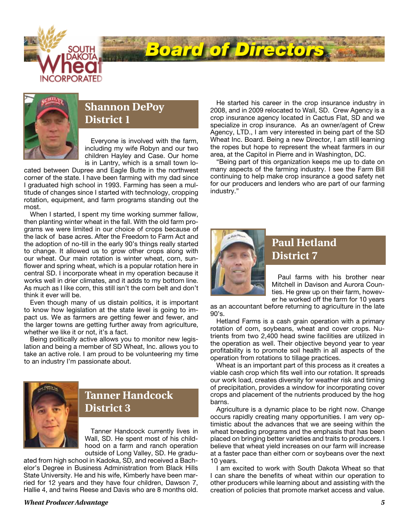



#### **Shannon DePoy District 1**

Everyone is involved with the farm, including my wife Robyn and our two children Hayley and Case. Our home is in Lantry, which is a small town lo-

cated between Dupree and Eagle Butte in the northwest corner of the state. I have been farming with my dad since I graduated high school in 1993. Farming has seen a multitude of changes since I started with technology, cropping rotation, equipment, and farm programs standing out the most.

When I started, I spent my time working summer fallow, then planting winter wheat in the fall. With the old farm programs we were limited in our choice of crops because of the lack of base acres. After the Freedom to Farm Act and the adoption of no-till in the early 90's things really started to change. It allowed us to grow other crops along with our wheat. Our main rotation is winter wheat, corn, sunflower and spring wheat, which is a popular rotation here in central SD. I incorporate wheat in my operation because it works well in drier climates, and it adds to my bottom line. As much as I like corn, this still isn't the corn belt and don't think it ever will be.

Even though many of us distain politics, it is important to know how legislation at the state level is going to impact us. We as farmers are getting fewer and fewer, and the larger towns are getting further away from agriculture, whether we like it or not, it's a fact.

Being politically active allows you to monitor new legislation and being a member of SD Wheat, Inc. allows you to take an active role. I am proud to be volunteering my time to an industry I'm passionate about.



#### **Tanner Handcock District 3**

Tanner Handcock currently lives in Wall, SD. He spent most of his childhood on a farm and ranch operation outside of Long Valley, SD. He gradu-

ated from high school in Kadoka, SD, and received a Bachelor's Degree in Business Administration from Black Hills State University. He and his wife, Kimberly have been married for 12 years and they have four children, Dawson 7, Hallie 4, and twins Reese and Davis who are 8 months old.

#### *Wheat Producer Advantage 5*

He started his career in the crop insurance industry in 2008, and in 2009 relocated to Wall, SD. Crew Agency is a crop insurance agency located in Cactus Flat, SD and we specialize in crop insurance. As an owner/agent of Crew Agency, LTD., I am very interested in being part of the SD Wheat Inc. Board. Being a new Director, I am still learning the ropes but hope to represent the wheat farmers in our area, at the Capitol in Pierre and in Washington, DC.

"Being part of this organization keeps me up to date on many aspects of the farming industry. I see the Farm Bill continuing to help make crop insurance a good safety net for our producers and lenders who are part of our farming industry."



*Board of Directors*

#### **Paul Hetland District 7**

Paul farms with his brother near Mitchell in Davison and Aurora Counties. He grew up on their farm, however he worked off the farm for 10 years

as an accountant before returning to agriculture in the late 90's.

Hetland Farms is a cash grain operation with a primary rotation of corn, soybeans, wheat and cover crops. Nutrients from two 2,400 head swine facilities are utilized in the operation as well. Their objective beyond year to year profitability is to promote soil health in all aspects of the operation from rotations to tillage practices.

Wheat is an important part of this process as it creates a viable cash crop which fits well into our rotation. It spreads our work load, creates diversity for weather risk and timing of precipitation, provides a window for incorporating cover crops and placement of the nutrients produced by the hog barns.

Agriculture is a dynamic place to be right now. Change occurs rapidly creating many opportunities. I am very optimistic about the advances that we are seeing within the wheat breeding programs and the emphasis that has been placed on bringing better varieties and traits to producers. I believe that wheat yield increases on our farm will increase at a faster pace than either corn or soybeans over the next 10 years.

I am excited to work with South Dakota Wheat so that I can share the benefits of wheat within our operation to other producers while learning about and assisting with the creation of policies that promote market access and value.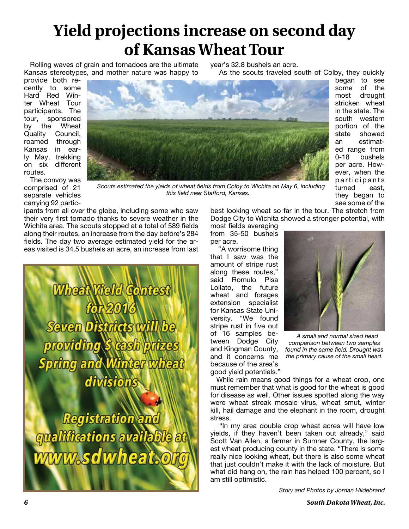# **Yield projections increase on second day of Kansas Wheat Tour**

Rolling waves of grain and tornadoes are the ultimate Kansas stereotypes, and mother nature was happy to

year's 32.8 bushels an acre. As the scouts traveled south of Colby, they quickly began to see

best looking wheat so far in the tour. The stretch from

provide both recently to some Hard Red Winter Wheat Tour participants. The tour, sponsored by the Wheat Quality Council, roamed through Kansas in early May, trekking on six different routes.



The convoy was comprised of 21 separate vehicles carrying 92 partic-

*Scouts estimated the yields of wheat fields from Colby to Wichita on May 6, including this field near Stafford, Kansas.*

ipants from all over the globe, including some who saw their very first tornado thanks to severe weather in the Wichita area. The scouts stopped at a total of 589 fields along their routes, an increase from the day before's 284 fields. The day two average estimated yield for the areas visited is 34.5 bushels an acre, an increase from last

Wheat Vield Contest Seven Districts will s *cash brit* **TINGI** pring an **AIM CAR** division

**Registration and** qualifications available at ww.sdwheat.o

Dodge City to Wichita showed a stronger potential, with most fields averaging from 35-50 bushels per acre.

"A worrisome thing that I saw was the amount of stripe rust along these routes," said Romulo Pisa Lollato, the future wheat and forages extension specialist for Kansas State University. "We found stripe rust in five out of 16 samples between Dodge City and Kingman County, and it concerns me because of the area's good yield potentials."



some of the most drought stricken wheat in the state. The south western portion of the state showed an estimated range from 0-18 bushels per acre. However, when the p articip ants turned east, they began to see some of the

*A small and normal sized head comparison between two samples found in the same field. Drought was the primary cause of the small head.* 

While rain means good things for a wheat crop, one must remember that what is good for the wheat is good for disease as well. Other issues spotted along the way were wheat streak mosaic virus, wheat smut, winter kill, hail damage and the elephant in the room, drought stress.

"In my area double crop wheat acres will have low yields, if they haven't been taken out already," said Scott Van Allen, a farmer in Sumner County, the largest wheat producing county in the state. "There is some really nice looking wheat, but there is also some wheat that just couldn't make it with the lack of moisture. But what did hang on, the rain has helped 100 percent, so I am still optimistic.

*Story and Photos by Jordan Hildebrand*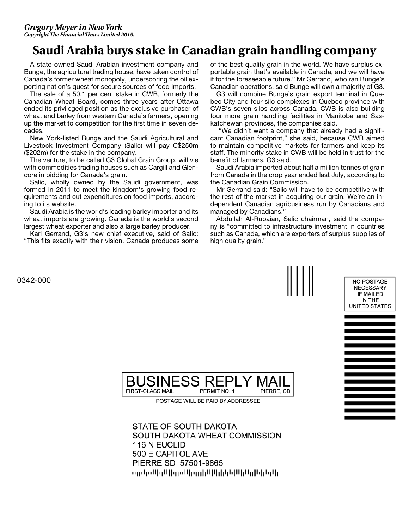### **Saudi Arabia buys stake in Canadian grain handling company**

A state-owned Saudi Arabian investment company and Bunge, the agricultural trading house, have taken control of Canada's former wheat monopoly, underscoring the oil exporting nation's quest for secure sources of food imports.

The sale of a 50.1 per cent stake in CWB, formerly the Canadian Wheat Board, comes three years after Ottawa ended its privileged position as the exclusive purchaser of wheat and barley from western Canada's farmers, opening up the market to competition for the first time in seven decades.

New York-listed Bunge and the Saudi Agricultural and Livestock Investment Company (Salic) will pay C\$250m (\$202m) for the stake in the company.

The venture, to be called G3 Global Grain Group, will vie with commodities trading houses such as Cargill and Glencore in bidding for Canada's grain.

Salic, wholly owned by the Saudi government, was formed in 2011 to meet the kingdom's growing food requirements and cut expenditures on food imports, according to its website.

Saudi Arabia is the world's leading barley importer and its wheat imports are growing. Canada is the world's second largest wheat exporter and also a large barley producer.

Karl Gerrand, G3's new chief executive, said of Salic: "This fits exactly with their vision. Canada produces some

of the best-quality grain in the world. We have surplus exportable grain that's available in Canada, and we will have it for the foreseeable future." Mr Gerrand, who ran Bunge's Canadian operations, said Bunge will own a majority of G3.

G3 will combine Bunge's grain export terminal in Quebec City and four silo complexes in Quebec province with CWB's seven silos across Canada. CWB is also building four more grain handling facilities in Manitoba and Saskatchewan provinces, the companies said.

 "We didn't want a company that already had a significant Canadian footprint," she said, because CWB aimed to maintain competitive markets for farmers and keep its staff. The minority stake in CWB will be held in trust for the benefit of farmers, G3 said.

Saudi Arabia imported about half a million tonnes of grain from Canada in the crop year ended last July, according to the Canadian Grain Commission.

Mr Gerrand said: "Salic will have to be competitive with the rest of the market in acquiring our grain. We're an independent Canadian agribusiness run by Canadians and managed by Canadians."

Abdullah Al-Rubaian, Salic chairman, said the company is "committed to infrastructure investment in countries such as Canada, which are exporters of surplus supplies of high quality grain."



500 E CAPITOL AVE PIERRE SD 57501-9865 արկակերի կամից դիկի կին կերերին <sub>տ</sub>րերական այնք